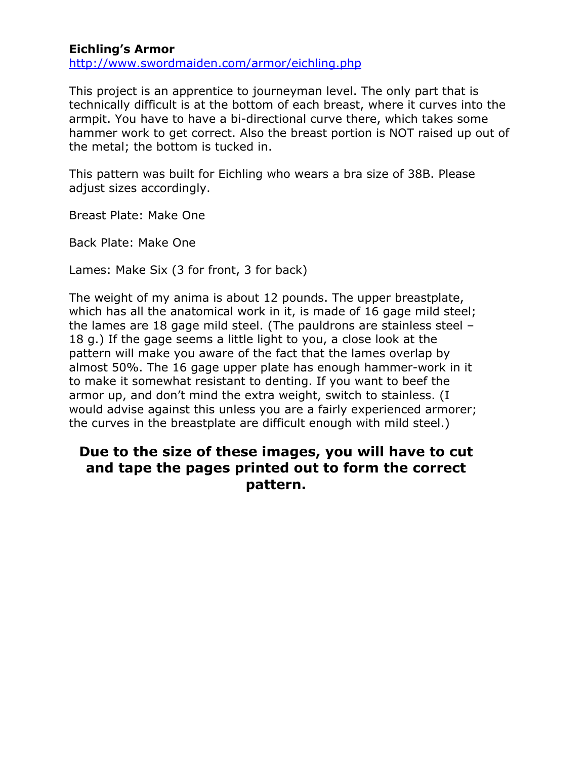## **Eichling's Armor**

<http://www.swordmaiden.com/armor/eichling.php>

This project is an apprentice to journeyman level. The only part that is technically difficult is at the bottom of each breast, where it curves into the armpit. You have to have a bi-directional curve there, which takes some hammer work to get correct. Also the breast portion is NOT raised up out of the metal; the bottom is tucked in.

This pattern was built for Eichling who wears a bra size of 38B. Please adjust sizes accordingly.

Breast Plate: Make One

Back Plate: Make One

Lames: Make Six (3 for front, 3 for back)

The weight of my anima is about 12 pounds. The upper breastplate, which has all the anatomical work in it, is made of 16 gage mild steel; the lames are 18 gage mild steel. (The pauldrons are stainless steel – 18 g.) If the gage seems a little light to you, a close look at the pattern will make you aware of the fact that the lames overlap by almost 50%. The 16 gage upper plate has enough hammer-work in it to make it somewhat resistant to denting. If you want to beef the armor up, and don't mind the extra weight, switch to stainless. (I would advise against this unless you are a fairly experienced armorer; the curves in the breastplate are difficult enough with mild steel.)

## **Due to the size of these images, you will have to cut and tape the pages printed out to form the correct pattern.**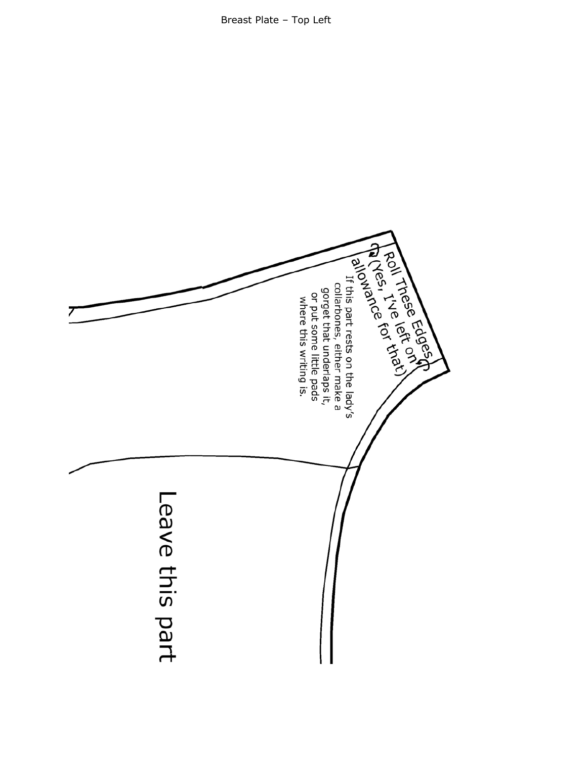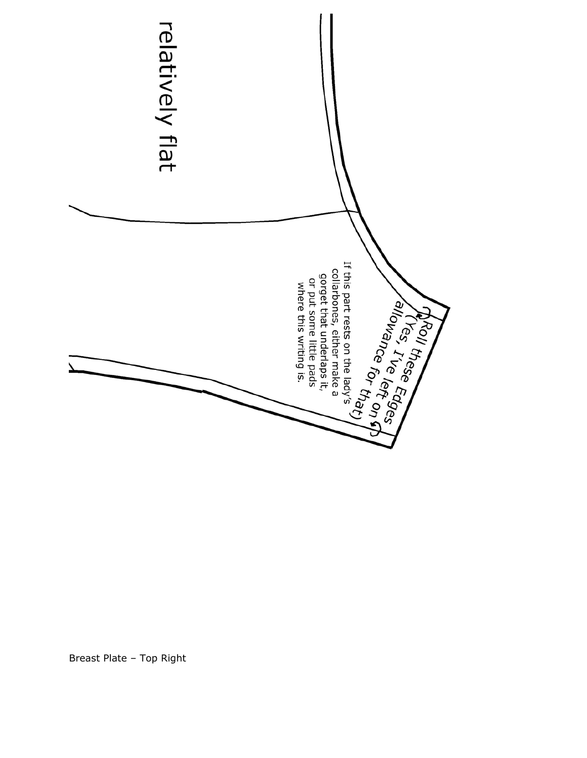

Breast Plate – Top Right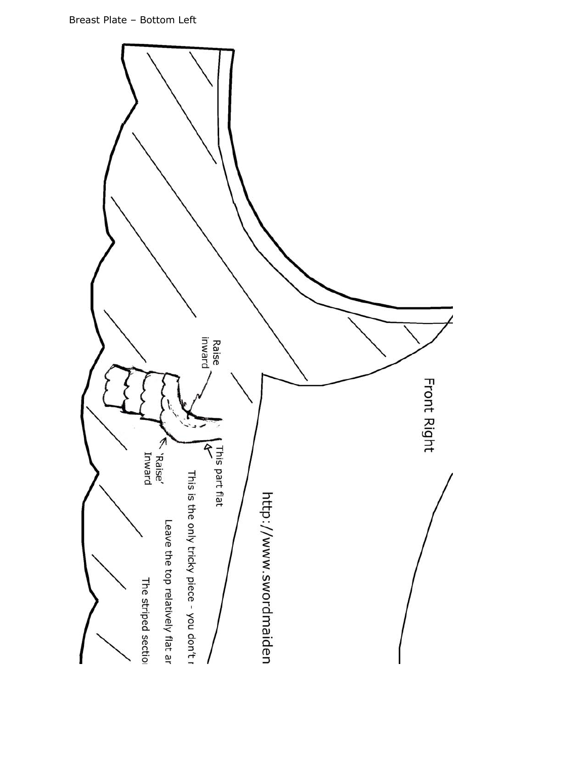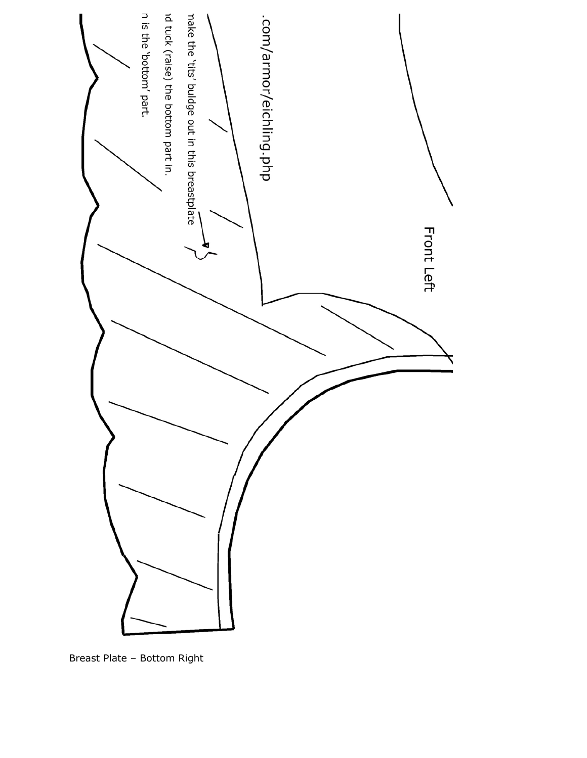

Breast Plate – Bottom Right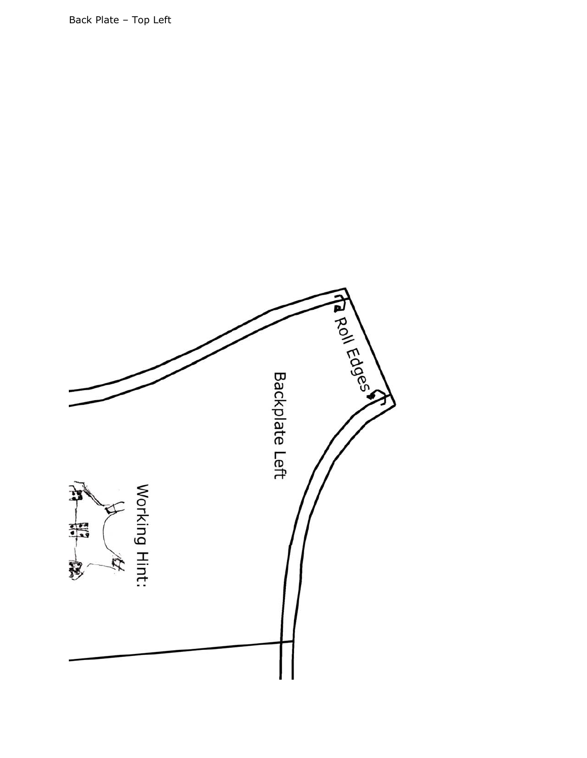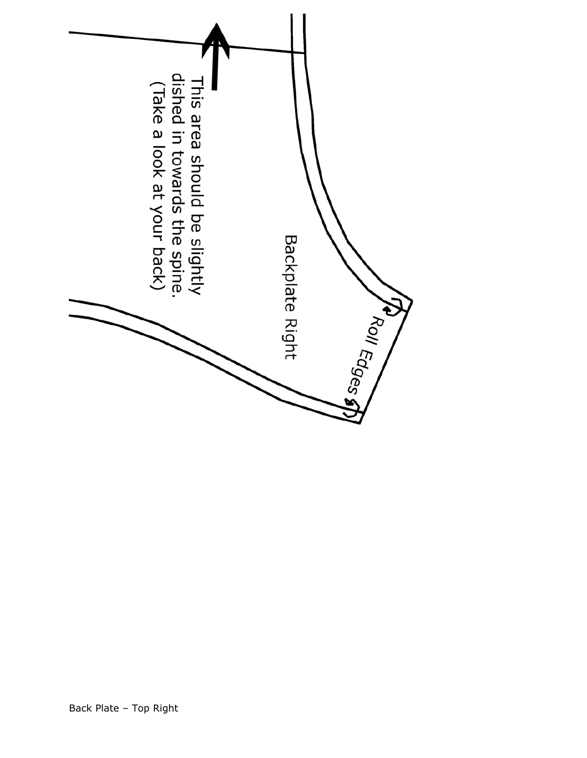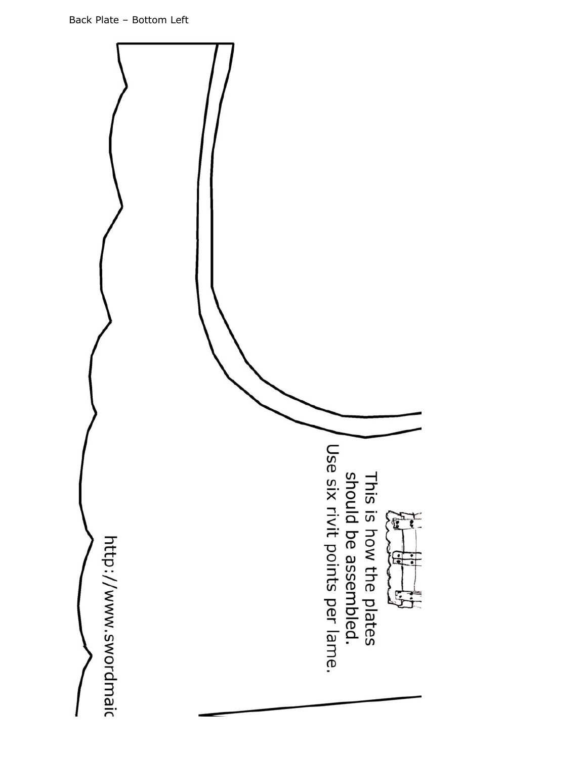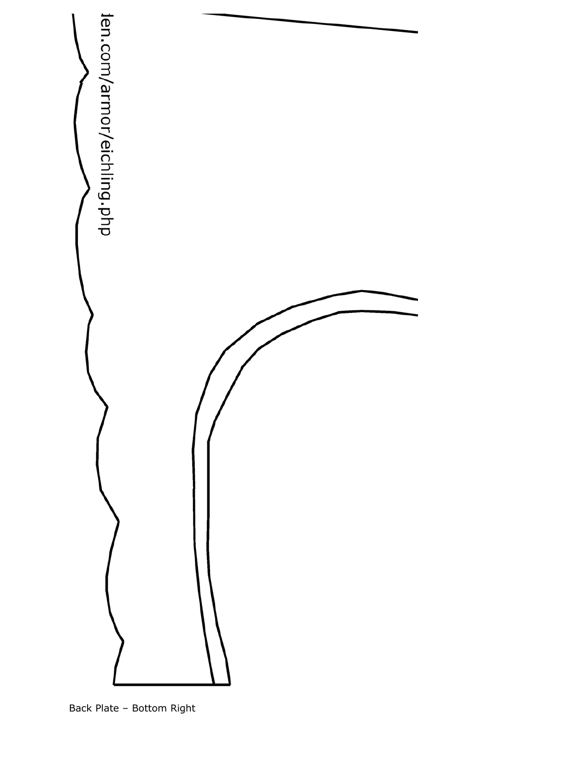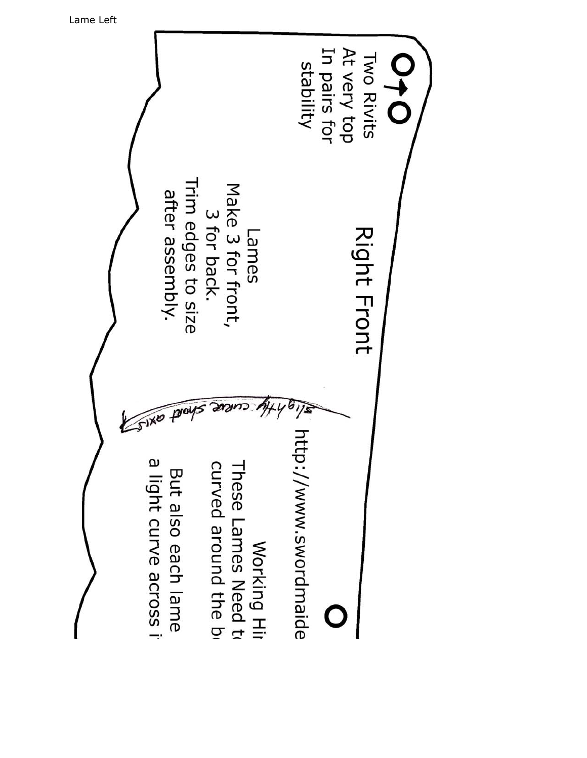